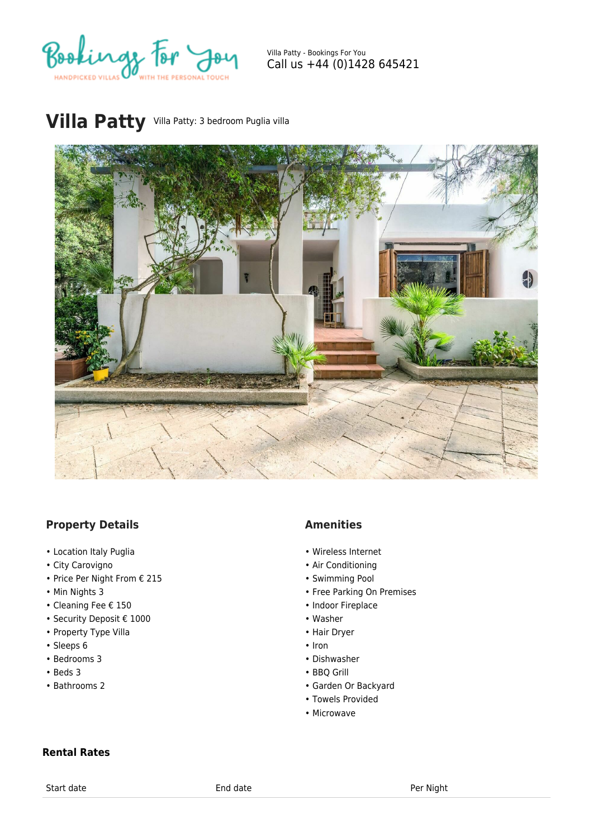

Villa Patty - Bookings For You Call us +44 (0)1428 645421

# **Villa Patty** Villa Patty: 3 bedroom Puglia villa



#### **Property Details**

- Location Italy Puglia
- City Carovigno
- Price Per Night From € 215
- Min Nights 3
- Cleaning Fee € 150
- Security Deposit € 1000
- Property Type Villa
- Sleeps 6
- Bedrooms 3
- Beds 3
- Bathrooms 2

## **Amenities**

- Wireless Internet
- Air Conditioning
- Swimming Pool
- Free Parking On Premises
- Indoor Fireplace
- Washer
- Hair Dryer
- Iron
- Dishwasher
- BBQ Grill
- Garden Or Backyard
- Towels Provided
- Microwave

#### **Rental Rates**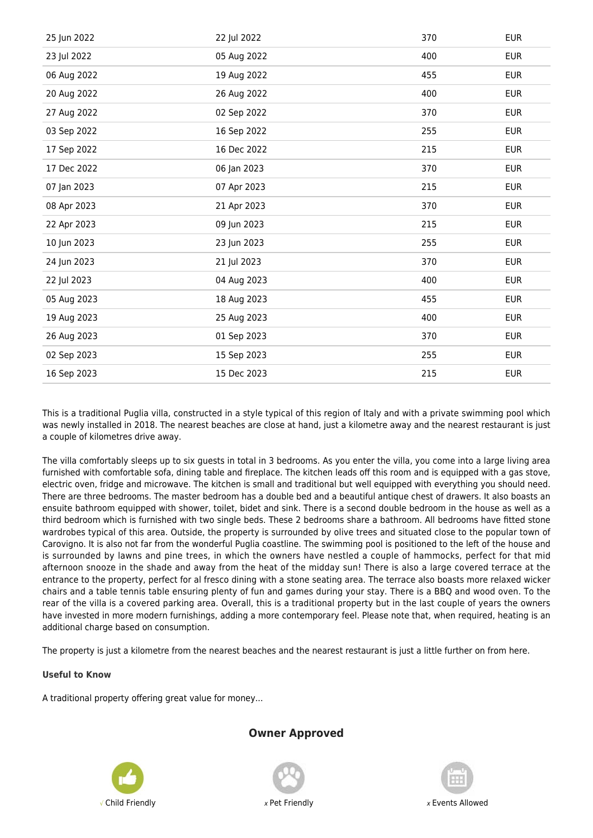| 25 Jun 2022 | 22 Jul 2022 | 370 | <b>EUR</b> |
|-------------|-------------|-----|------------|
| 23 Jul 2022 | 05 Aug 2022 | 400 | <b>EUR</b> |
| 06 Aug 2022 | 19 Aug 2022 | 455 | <b>EUR</b> |
| 20 Aug 2022 | 26 Aug 2022 | 400 | <b>EUR</b> |
| 27 Aug 2022 | 02 Sep 2022 | 370 | <b>EUR</b> |
| 03 Sep 2022 | 16 Sep 2022 | 255 | <b>EUR</b> |
| 17 Sep 2022 | 16 Dec 2022 | 215 | <b>EUR</b> |
| 17 Dec 2022 | 06 Jan 2023 | 370 | <b>EUR</b> |
| 07 Jan 2023 | 07 Apr 2023 | 215 | <b>EUR</b> |
| 08 Apr 2023 | 21 Apr 2023 | 370 | <b>EUR</b> |
| 22 Apr 2023 | 09 Jun 2023 | 215 | <b>FUR</b> |
| 10 Jun 2023 | 23 Jun 2023 | 255 | <b>EUR</b> |
| 24 Jun 2023 | 21 Jul 2023 | 370 | <b>EUR</b> |
| 22 Jul 2023 | 04 Aug 2023 | 400 | <b>EUR</b> |
| 05 Aug 2023 | 18 Aug 2023 | 455 | <b>EUR</b> |
| 19 Aug 2023 | 25 Aug 2023 | 400 | <b>EUR</b> |
| 26 Aug 2023 | 01 Sep 2023 | 370 | <b>EUR</b> |
| 02 Sep 2023 | 15 Sep 2023 | 255 | <b>EUR</b> |
| 16 Sep 2023 | 15 Dec 2023 | 215 | <b>EUR</b> |

This is a traditional Puglia villa, constructed in a style typical of this region of Italy and with a private swimming pool which was newly installed in 2018. The nearest beaches are close at hand, just a kilometre away and the nearest restaurant is just a couple of kilometres drive away.

The villa comfortably sleeps up to six guests in total in 3 bedrooms. As you enter the villa, you come into a large living area furnished with comfortable sofa, dining table and fireplace. The kitchen leads off this room and is equipped with a gas stove, electric oven, fridge and microwave. The kitchen is small and traditional but well equipped with everything you should need. There are three bedrooms. The master bedroom has a double bed and a beautiful antique chest of drawers. It also boasts an ensuite bathroom equipped with shower, toilet, bidet and sink. There is a second double bedroom in the house as well as a third bedroom which is furnished with two single beds. These 2 bedrooms share a bathroom. All bedrooms have fitted stone wardrobes typical of this area. Outside, the property is surrounded by olive trees and situated close to the popular town of Carovigno. It is also not far from the wonderful Puglia coastline. The swimming pool is positioned to the left of the house and is surrounded by lawns and pine trees, in which the owners have nestled a couple of hammocks, perfect for that mid afternoon snooze in the shade and away from the heat of the midday sun! There is also a large covered terrace at the entrance to the property, perfect for al fresco dining with a stone seating area. The terrace also boasts more relaxed wicker chairs and a table tennis table ensuring plenty of fun and games during your stay. There is a BBQ and wood oven. To the rear of the villa is a covered parking area. Overall, this is a traditional property but in the last couple of years the owners have invested in more modern furnishings, adding a more contemporary feel. Please note that, when required, heating is an additional charge based on consumption.

The property is just a kilometre from the nearest beaches and the nearest restaurant is just a little further on from here.

#### **Useful to Know**

A traditional property offering great value for money...



## **Owner Approved**